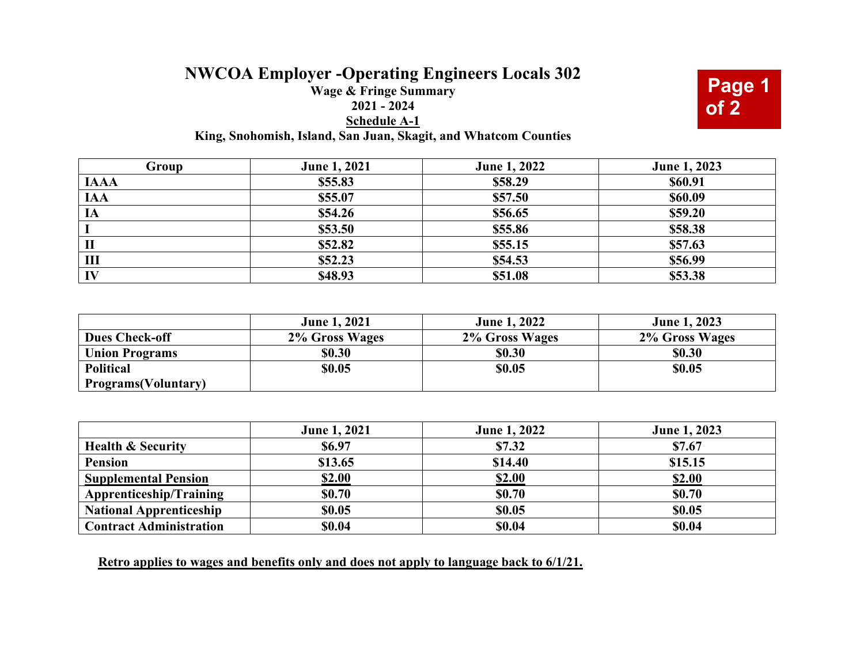## **NWCOA Employer -Operating Engineers Locals 302**

## **Wage & Fringe Summary 2021 - 2024 Schedule A-1 King, Snohomish, Island, San Juan, Skagit, and Whatcom Counties**

**Page 1 of 2**

| Group       | <b>June 1, 2021</b> | <b>June 1, 2022</b> | <b>June 1, 2023</b> |
|-------------|---------------------|---------------------|---------------------|
| <b>IAAA</b> | \$55.83             | \$58.29             | \$60.91             |
| <b>IAA</b>  | \$55.07             | \$57.50             | \$60.09             |
| IA          | \$54.26             | \$56.65             | \$59.20             |
|             | \$53.50             | \$55.86             | \$58.38             |
| П           | \$52.82             | \$55.15             | \$57.63             |
| Ш           | \$52.23             | \$54.53             | \$56.99             |
| IV          | \$48.93             | \$51.08             | \$53.38             |

|                             | <b>June 1, 2021</b> | <b>June 1, 2022</b> | <b>June 1, 2023</b> |
|-----------------------------|---------------------|---------------------|---------------------|
| <b>Dues Check-off</b>       | 2% Gross Wages      | 2% Gross Wages      | 2% Gross Wages      |
| <b>Union Programs</b>       | \$0.30              | \$0.30              | \$0.30              |
| <b>Political</b>            | \$0.05              | \$0.05              | \$0.05              |
| <b>Programs</b> (Voluntary) |                     |                     |                     |

|                                | <b>June 1, 2021</b> | <b>June 1, 2022</b> | <b>June 1, 2023</b> |
|--------------------------------|---------------------|---------------------|---------------------|
| <b>Health &amp; Security</b>   | <b>\$6.97</b>       | \$7.32              | \$7.67              |
| <b>Pension</b>                 | \$13.65             | \$14.40             | \$15.15             |
| <b>Supplemental Pension</b>    | \$2.00              | <b>\$2.00</b>       | \$2.00              |
| Apprenticeship/Training        | <b>\$0.70</b>       | \$0.70              | <b>\$0.70</b>       |
| <b>National Apprenticeship</b> | \$0.05              | \$0.05              | \$0.05              |
| <b>Contract Administration</b> | \$0.04              | \$0.04              | \$0.04              |

**Retro applies to wages and benefits only and does not apply to language back to 6/1/21.**